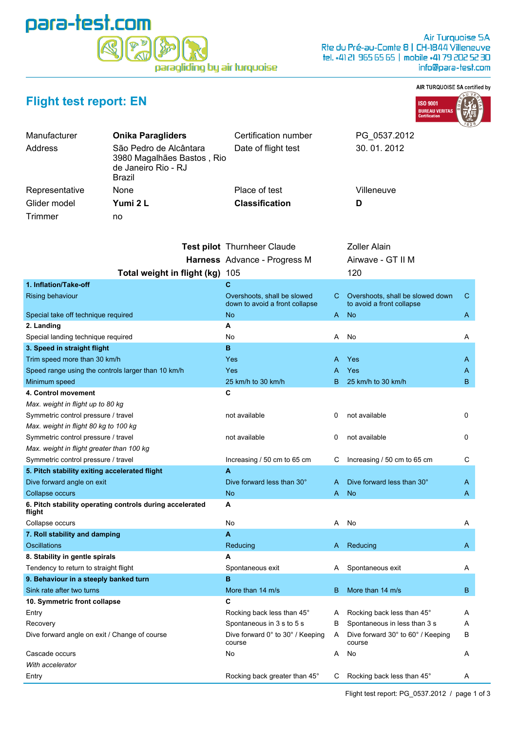## para-test.com paragliding by air turquoise

## AIR TURQUOISE SA certified by



| <b>Flight test report: EN</b> |  |  |  |  |  |
|-------------------------------|--|--|--|--|--|
|-------------------------------|--|--|--|--|--|

| Address                                            | São Pedro de Alcântara<br>3980 Magalhães Bastos, Rio<br>de Janeiro Rio - RJ<br><b>Brazil</b> | Date of flight test                        |    | 30.01.2012                                  |    |
|----------------------------------------------------|----------------------------------------------------------------------------------------------|--------------------------------------------|----|---------------------------------------------|----|
| Representative                                     | None                                                                                         | Place of test                              |    | Villeneuve                                  |    |
| Glider model                                       | Yumi 2 L                                                                                     | <b>Classification</b>                      |    | D                                           |    |
| Trimmer                                            | no                                                                                           |                                            |    |                                             |    |
|                                                    |                                                                                              |                                            |    |                                             |    |
|                                                    |                                                                                              |                                            |    |                                             |    |
|                                                    |                                                                                              | <b>Test pilot</b> Thurnheer Claude         |    | <b>Zoller Alain</b>                         |    |
|                                                    |                                                                                              | Harness Advance - Progress M               |    | Airwave - GT II M                           |    |
|                                                    | Total weight in flight (kg) 105                                                              |                                            |    | 120                                         |    |
| 1. Inflation/Take-off                              |                                                                                              | С                                          |    |                                             |    |
| <b>Rising behaviour</b>                            |                                                                                              | Overshoots, shall be slowed                | C. | Overshoots, shall be slowed down            | C  |
|                                                    |                                                                                              | down to avoid a front collapse             |    | to avoid a front collapse                   |    |
| Special take off technique required<br>2. Landing  |                                                                                              | No<br>А                                    | A  | <b>No</b>                                   | A  |
| Special landing technique required                 |                                                                                              | No                                         | A  | No                                          | A  |
| 3. Speed in straight flight                        |                                                                                              | B                                          |    |                                             |    |
| Trim speed more than 30 km/h                       |                                                                                              | Yes                                        | Α  | Yes                                         | A  |
| Speed range using the controls larger than 10 km/h |                                                                                              | <b>Yes</b>                                 | Α  | <b>Yes</b>                                  | A  |
| Minimum speed                                      |                                                                                              | 25 km/h to 30 km/h                         | В  | 25 km/h to 30 km/h                          | B  |
| 4. Control movement                                |                                                                                              | C                                          |    |                                             |    |
| Max. weight in flight up to 80 kg                  |                                                                                              |                                            |    |                                             |    |
| Symmetric control pressure / travel                |                                                                                              | not available                              | 0  | not available                               | 0  |
| Max. weight in flight 80 kg to 100 kg              |                                                                                              |                                            |    |                                             |    |
| Symmetric control pressure / travel                |                                                                                              | not available                              | 0  | not available                               | 0  |
| Max. weight in flight greater than 100 kg          |                                                                                              |                                            |    |                                             |    |
| Symmetric control pressure / travel                |                                                                                              | Increasing / 50 cm to 65 cm                | С  | Increasing / 50 cm to 65 cm                 | С  |
| 5. Pitch stability exiting accelerated flight      |                                                                                              | A                                          |    |                                             |    |
| Dive forward angle on exit                         |                                                                                              | Dive forward less than 30°                 |    | Dive forward less than 30°                  | A  |
| Collapse occurs                                    |                                                                                              | No                                         | A. | <b>No</b>                                   | A. |
| flight                                             | 6. Pitch stability operating controls during accelerated                                     | А                                          |    |                                             |    |
| Collapse occurs                                    |                                                                                              | No                                         | A  | No                                          | A  |
| 7. Roll stability and damping                      |                                                                                              | A                                          |    |                                             |    |
| Oscillations                                       |                                                                                              | Reducing                                   |    | A Reducing                                  | A. |
| 8. Stability in gentle spirals                     |                                                                                              | A                                          |    |                                             |    |
| Tendency to return to straight flight              |                                                                                              | Spontaneous exit                           | Α  | Spontaneous exit                            | A  |
| 9. Behaviour in a steeply banked turn              |                                                                                              | B                                          |    |                                             |    |
| Sink rate after two turns                          |                                                                                              | More than 14 m/s                           | В  | More than 14 m/s                            | B  |
| 10. Symmetric front collapse                       |                                                                                              | C                                          |    |                                             |    |
| Entry                                              |                                                                                              | Rocking back less than 45°                 | A  | Rocking back less than 45°                  | A  |
| Recovery                                           |                                                                                              | Spontaneous in 3 s to 5 s                  | в  | Spontaneous in less than 3 s                | A  |
| Dive forward angle on exit / Change of course      |                                                                                              | Dive forward 0° to 30° / Keeping<br>course | A  | Dive forward 30° to 60° / Keeping<br>course | В  |
| Cascade occurs                                     |                                                                                              | No                                         | Α  | No                                          | A  |
| With accelerator                                   |                                                                                              |                                            |    |                                             |    |
| Entry                                              |                                                                                              | Rocking back greater than 45°              | С  | Rocking back less than 45°                  | A  |

Manufacturer **Onika Paragliders** Certification number PG\_0537.2012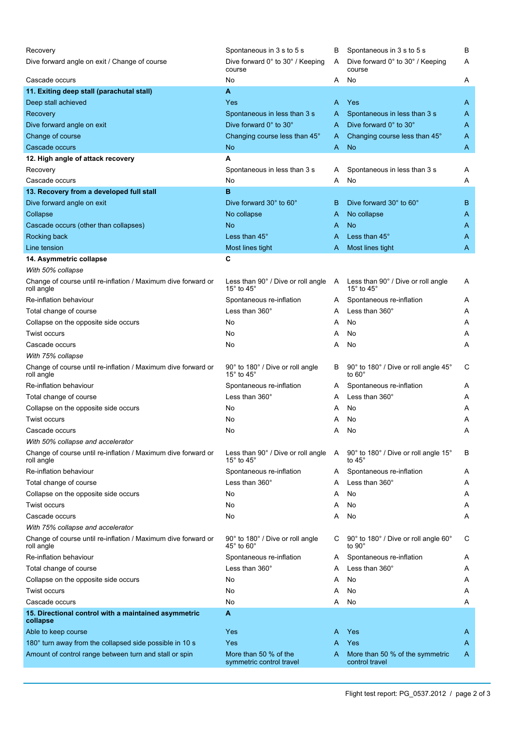| Recovery<br>Dive forward angle on exit / Change of course                   | Spontaneous in 3 s to 5 s<br>Dive forward 0° to 30° / Keeping                             | В<br>Α | Spontaneous in 3 s to 5 s<br>Dive forward $0^\circ$ to $30^\circ$ / Keeping | В<br>Α |
|-----------------------------------------------------------------------------|-------------------------------------------------------------------------------------------|--------|-----------------------------------------------------------------------------|--------|
| Cascade occurs                                                              | course<br>No                                                                              | A      | course<br>No                                                                |        |
|                                                                             | A                                                                                         |        |                                                                             | A      |
| 11. Exiting deep stall (parachutal stall)                                   |                                                                                           |        |                                                                             |        |
| Deep stall achieved                                                         | Yes                                                                                       | A      | Yes                                                                         | A      |
| Recovery                                                                    | Spontaneous in less than 3 s                                                              | A      | Spontaneous in less than 3 s                                                | A      |
| Dive forward angle on exit                                                  | Dive forward 0° to 30°                                                                    | A      | Dive forward 0° to 30°                                                      | A      |
| Change of course                                                            | Changing course less than 45°                                                             | A      | Changing course less than 45°                                               | A      |
| Cascade occurs                                                              | <b>No</b>                                                                                 | A      | <b>No</b>                                                                   | Α      |
| 12. High angle of attack recovery                                           | А                                                                                         |        |                                                                             |        |
| Recovery                                                                    | Spontaneous in less than 3 s                                                              | A      | Spontaneous in less than 3 s                                                | Α      |
| Cascade occurs                                                              | No                                                                                        | Α      | No                                                                          | Α      |
| 13. Recovery from a developed full stall                                    | B                                                                                         |        |                                                                             |        |
| Dive forward angle on exit                                                  | Dive forward 30° to 60°                                                                   | B      | Dive forward 30° to 60°                                                     | B      |
| Collapse                                                                    | No collapse                                                                               | A      | No collapse                                                                 | A      |
| Cascade occurs (other than collapses)                                       | No                                                                                        | A      | No                                                                          | A      |
| Rocking back                                                                | Less than 45°                                                                             | A      | Less than 45°                                                               | A      |
| Line tension                                                                | Most lines tight                                                                          | A      | Most lines tight                                                            | A      |
| 14. Asymmetric collapse                                                     | C                                                                                         |        |                                                                             |        |
| With 50% collapse                                                           |                                                                                           |        |                                                                             |        |
| Change of course until re-inflation / Maximum dive forward or<br>roll angle | Less than $90^\circ$ / Dive or roll angle $\phantom{1}$ A<br>15 $\degree$ to 45 $\degree$ |        | Less than 90° / Dive or roll angle<br>15 $^{\circ}$ to 45 $^{\circ}$        | A      |
| Re-inflation behaviour                                                      | Spontaneous re-inflation                                                                  | A      | Spontaneous re-inflation                                                    | A      |
| Total change of course                                                      | Less than 360°                                                                            | A      | Less than 360°                                                              | A      |
| Collapse on the opposite side occurs                                        | No                                                                                        | A      | No                                                                          | Α      |
| <b>Twist occurs</b>                                                         | No                                                                                        | Α      | No                                                                          | A      |
| Cascade occurs                                                              | No                                                                                        | A      | No                                                                          | A      |
| With 75% collapse                                                           |                                                                                           |        |                                                                             |        |
| Change of course until re-inflation / Maximum dive forward or<br>roll angle | 90° to 180° / Dive or roll angle<br>15 $\degree$ to 45 $\degree$                          | В      | 90° to 180° / Dive or roll angle 45°<br>to $60^\circ$                       | С      |
| Re-inflation behaviour                                                      | Spontaneous re-inflation                                                                  | A      | Spontaneous re-inflation                                                    | A      |
| Total change of course                                                      | Less than 360°                                                                            | A      | Less than 360°                                                              | Α      |
| Collapse on the opposite side occurs                                        | No                                                                                        | A      | No                                                                          | A      |
| <b>Twist occurs</b>                                                         | No                                                                                        | A      | No                                                                          | Α      |
| Cascade occurs                                                              | No                                                                                        | A      | No                                                                          | Α      |
| With 50% collapse and accelerator                                           |                                                                                           |        |                                                                             |        |
| Change of course until re-inflation / Maximum dive forward or<br>roll angle | Less than 90° / Dive or roll angle<br>15 $^{\circ}$ to 45 $^{\circ}$                      | A      | 90° to 180° / Dive or roll angle 15°<br>to 45 $^{\circ}$                    | В      |
| Re-inflation behaviour                                                      | Spontaneous re-inflation                                                                  | A      | Spontaneous re-inflation                                                    | Α      |
| Total change of course                                                      | Less than $360^\circ$                                                                     | A      | Less than 360°                                                              | A      |
| Collapse on the opposite side occurs                                        | No                                                                                        | A      | No                                                                          | Α      |
| <b>Twist occurs</b>                                                         | No                                                                                        | A      | No                                                                          | A      |
| Cascade occurs                                                              | No                                                                                        | A      | No                                                                          | Α      |
| With 75% collapse and accelerator                                           |                                                                                           |        |                                                                             |        |
| Change of course until re-inflation / Maximum dive forward or<br>roll angle | 90° to 180° / Dive or roll angle<br>$45^{\circ}$ to $60^{\circ}$                          | С      | 90° to 180° / Dive or roll angle 60°<br>to $90^\circ$                       | С      |
| Re-inflation behaviour                                                      | Spontaneous re-inflation                                                                  | A      | Spontaneous re-inflation                                                    | A      |
| Total change of course                                                      | Less than 360°                                                                            | А      | Less than $360^\circ$                                                       | A      |
| Collapse on the opposite side occurs                                        | No                                                                                        | A      | No                                                                          | A      |
| <b>Twist occurs</b>                                                         | No                                                                                        | Α      | No                                                                          | A      |
| Cascade occurs                                                              | No                                                                                        | A      | No                                                                          | Α      |
| 15. Directional control with a maintained asymmetric<br>collapse            | A                                                                                         |        |                                                                             |        |
| Able to keep course                                                         | Yes                                                                                       | A      | Yes                                                                         | A      |
| 180° turn away from the collapsed side possible in 10 s                     | Yes                                                                                       | A      | Yes                                                                         | A      |
| Amount of control range between turn and stall or spin                      | More than 50 % of the<br>symmetric control travel                                         | A      | More than 50 % of the symmetric<br>control travel                           | A      |